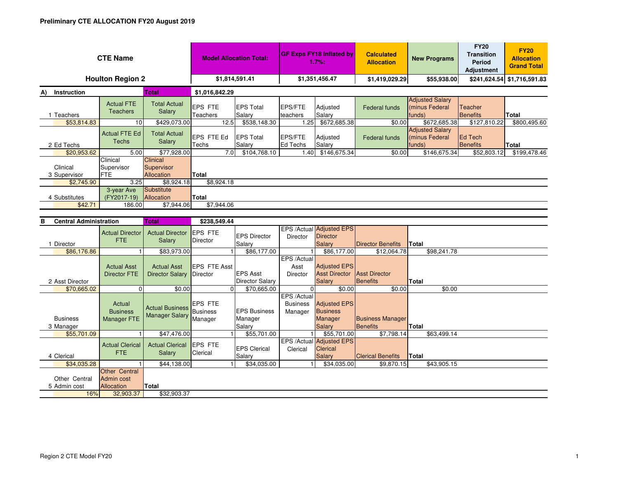| <b>CTE Name</b>                    | <b>Model Allocation Total:</b>                             |                                                 | <b>GF Exps FY18 Inflated by</b><br>1.7%: |                                           | <b>Calculated</b><br><b>Allocation</b>     | <b>New Programs</b>                                                | <b>FY20</b><br><b>Transition</b><br><b>Period</b><br><b>Adjustment</b> | <b>FY20</b><br><b>Allocation</b><br><b>Grand Total</b> |                            |                             |  |  |
|------------------------------------|------------------------------------------------------------|-------------------------------------------------|------------------------------------------|-------------------------------------------|--------------------------------------------|--------------------------------------------------------------------|------------------------------------------------------------------------|--------------------------------------------------------|----------------------------|-----------------------------|--|--|
|                                    | <b>Houlton Region 2</b>                                    |                                                 | \$1,814,591.41                           |                                           | \$1,351,456.47                             |                                                                    | \$1,419,029.29                                                         | \$55,938.00                                            |                            | \$241,624.54 \$1,716,591.83 |  |  |
| Instruction<br><b>Total</b><br>A)  |                                                            |                                                 | \$1,016,842.29                           |                                           |                                            |                                                                    |                                                                        |                                                        |                            |                             |  |  |
| 1 Teachers                         | <b>Actual FTE</b><br><b>Teachers</b>                       | <b>Total Actual</b><br>Salary                   | EPS FTE<br><b>Teachers</b>               | <b>EPS Total</b><br>Salary                | <b>EPS/FTE</b><br>teachers                 | Adjusted<br>Salary                                                 | <b>Federal funds</b>                                                   | <b>Adjusted Salary</b><br>(minus Federal<br>funds)     | Teacher<br>Benefits        | <b>Total</b>                |  |  |
| \$53.814.83                        | 10                                                         | \$429.073.00                                    | 12.5                                     | \$538.148.30                              | 1.25                                       | \$672,685.38                                                       | \$0.00                                                                 | \$672,685.38                                           | \$127,810.22               | \$800.495.60                |  |  |
| 2 Ed Techs                         | <b>Actual FTE Ed</b><br><b>Techs</b>                       | <b>Total Actual</b><br>Salary                   | EPS FTE Ed<br>Techs                      | <b>EPS Total</b><br>Salary                | EPS/FTE<br><b>Ed Techs</b>                 | Adjusted<br>Salary                                                 | <b>Federal funds</b>                                                   | <b>Adjusted Salary</b><br>(minus Federal<br>funds)     | Ed Tech<br><b>Benefits</b> | Total                       |  |  |
| \$20,953.62                        | 5.00                                                       | \$77.928.00                                     | 7.0                                      | \$104,768.10                              | 1.40                                       | \$146,675.34                                                       | \$0.00                                                                 | \$146,675.34                                           | \$52,803.12                | \$199,478.46                |  |  |
| Clinical<br>3 Supervisor           | Clinical<br>Supervisor<br><b>FTE</b>                       | Clinical<br>Supervisor<br><b>Allocation</b>     | Total                                    |                                           |                                            |                                                                    |                                                                        |                                                        |                            |                             |  |  |
| \$2,745.90                         | 3.25                                                       | \$8,924.18                                      | \$8,924.18                               |                                           |                                            |                                                                    |                                                                        |                                                        |                            |                             |  |  |
| 4 Substitutes                      | 3-year Ave<br>(FY2017-19)                                  | Substitute<br>Allocation                        | Total                                    |                                           |                                            |                                                                    |                                                                        |                                                        |                            |                             |  |  |
| \$42.71                            | 186.00                                                     | \$7,944.06                                      | \$7,944.06                               |                                           |                                            |                                                                    |                                                                        |                                                        |                            |                             |  |  |
|                                    |                                                            |                                                 |                                          |                                           |                                            |                                                                    |                                                                        |                                                        |                            |                             |  |  |
| <b>Central Administration</b><br>в |                                                            | <b>Total</b>                                    | \$238,549.44                             |                                           |                                            |                                                                    |                                                                        |                                                        |                            |                             |  |  |
| 1 Director                         | <b>Actual Director</b><br><b>FTE</b>                       | <b>Actual Director</b><br>Salary                | EPS FTE<br>Director                      | <b>EPS Director</b><br>Salary             | Director                                   | EPS /Actual Adjusted EPS<br><b>Director</b><br><b>Salary</b>       | <b>Director Benefits</b>                                               | <b>Total</b>                                           |                            |                             |  |  |
| \$86,176.86                        |                                                            | \$83,973.00                                     |                                          | \$86,177.00                               |                                            | \$86,177.00                                                        | \$12,064.78                                                            | \$98,241.78                                            |                            |                             |  |  |
| 2 Asst Director                    | <b>Actual Asst</b><br><b>Director FTE</b>                  | <b>Actual Asst</b><br><b>Director Salary</b>    | <b>EPS FTE Asst</b><br>Director          | <b>EPS Asst</b><br><b>Director Salary</b> | EPS /Actual<br>Asst<br>Director            | <b>Adjusted EPS</b><br><b>Asst Director</b><br><b>Salary</b>       | <b>Asst Director</b><br><b>Benefits</b>                                | <b>Total</b>                                           |                            |                             |  |  |
| \$70,665.02                        | $\Omega$                                                   | \$0.00                                          | $\Omega$                                 | \$70,665.00                               | $\Omega$                                   | \$0.00                                                             | \$0.00                                                                 | \$0.00                                                 |                            |                             |  |  |
| <b>Business</b><br>3 Manager       | Actual<br><b>Business</b><br><b>Manager FTE</b>            | <b>Actual Business</b><br><b>Manager Salary</b> | EPS FTE<br><b>Business</b><br>Manager    | <b>EPS Business</b><br>Manager<br>Salary  | EPS / Actual<br><b>Business</b><br>Manager | <b>Adjusted EPS</b><br><b>Business</b><br><b>Manager</b><br>Salary | <b>Business Manager</b><br><b>Benefits</b>                             | Total                                                  |                            |                             |  |  |
| \$55,701.09                        |                                                            | \$47,476.00                                     |                                          | \$55,701.00                               |                                            | \$55,701.00                                                        | \$7,798.14                                                             | \$63,499.14                                            |                            |                             |  |  |
|                                    | $\Delta$ - and $\Delta$ $\Delta$ and $\Delta$ and $\Delta$ | Askel Olympia FOO FTE                           |                                          |                                           |                                            | <b>EPS /Actual Adjusted EPS</b>                                    |                                                                        |                                                        |                            |                             |  |  |

|               | <b>Actual Clerical</b> | Actual Clerical EPS FTE |          | <b>EPS Clerical</b> | Clerical | $\mathsf{L}$ $\mathsf{U}$ $\mathsf{U}$ total $\mathsf{I}$ total decode $\mathsf{L}$ is $\mathsf{U}$<br><b>Clerical</b> |                          |              |  |
|---------------|------------------------|-------------------------|----------|---------------------|----------|------------------------------------------------------------------------------------------------------------------------|--------------------------|--------------|--|
| 4 Clerical    | FTE.                   | Salary                  | Clerical | Salary              |          | Salary                                                                                                                 | <b>Clerical Benefits</b> | <b>Total</b> |  |
| \$34,035.28   |                        | \$44,138.00             |          | \$34.035.00         |          | \$34.035.00                                                                                                            | \$9,870.15               | \$43.905.15  |  |
|               | <b>Other Central</b>   |                         |          |                     |          |                                                                                                                        |                          |              |  |
| Other Central | Admin cost             |                         |          |                     |          |                                                                                                                        |                          |              |  |
| 5 Admin cost  | <b>Allocation</b>      | Total                   |          |                     |          |                                                                                                                        |                          |              |  |
| 16%           | 32,903.37              | \$32,903.37             |          |                     |          |                                                                                                                        |                          |              |  |